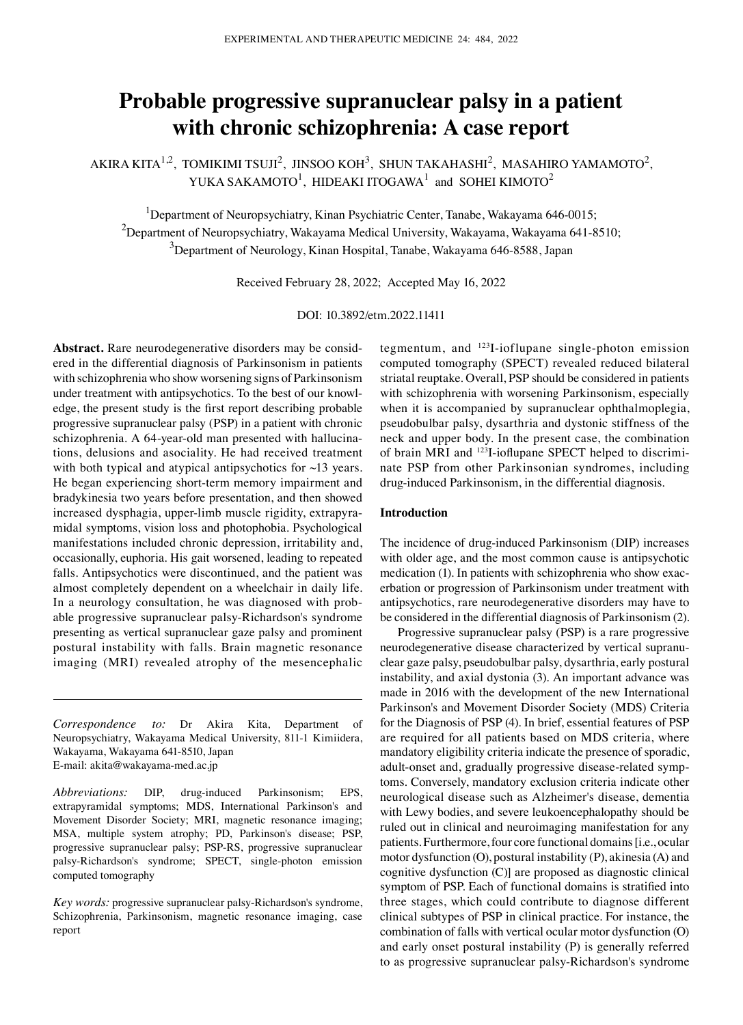# **Probable progressive supranuclear palsy in a patient with chronic schizophrenia: A case report**

AKIRA KITA $^{1,2}$ , TOMIKIMI TSUJI $^2$ , JINSOO KOH $^3$ , SHUN TAKAHASHI $^2$ , MASAHIRO YAMAMOTO $^2$ , YUKA SAKAMOTO $^1$ , HIDEAKI ITOGAWA $^1$  and SOHEI KIMOTO $^2$ 

<sup>1</sup>Department of Neuropsychiatry, Kinan Psychiatric Center, Tanabe, Wakayama 646-0015;  $^{2}$ Department of Neuropsychiatry, Wakayama Medical University, Wakayama, Wakayama 641-8510;  $^3$ Department of Neurology, Kinan Hospital, Tanabe, Wakayama 646-8588, Japan

Received February 28, 2022; Accepted May 16, 2022

DOI: 10.3892/etm.2022.11411

Abstract. Rare neurodegenerative disorders may be considered in the differential diagnosis of Parkinsonism in patients with schizophrenia who show worsening signs of Parkinsonism under treatment with antipsychotics. To the best of our knowledge, the present study is the first report describing probable progressive supranuclear palsy (PSP) in a patient with chronic schizophrenia. A 64-year-old man presented with hallucinations, delusions and asociality. He had received treatment with both typical and atypical antipsychotics for ~13 years. He began experiencing short-term memory impairment and bradykinesia two years before presentation, and then showed increased dysphagia, upper-limb muscle rigidity, extrapyramidal symptoms, vision loss and photophobia. Psychological manifestations included chronic depression, irritability and, occasionally, euphoria. His gait worsened, leading to repeated falls. Antipsychotics were discontinued, and the patient was almost completely dependent on a wheelchair in daily life. In a neurology consultation, he was diagnosed with probable progressive supranuclear palsy‑Richardson's syndrome presenting as vertical supranuclear gaze palsy and prominent postural instability with falls. Brain magnetic resonance imaging (MRI) revealed atrophy of the mesencephalic

*Correspondence to:* Dr Akira Kita, Department of Neuropsychiatry, Wakayama Medical University, 811‑1 Kimiidera, Wakayama, Wakayama 641‑8510, Japan E‑mail: akita@wakayama‑med.ac.jp

*Abbreviations:* DIP, drug‑induced Parkinsonism; EPS, extrapyramidal symptoms; MDS, International Parkinson's and Movement Disorder Society; MRI, magnetic resonance imaging; MSA, multiple system atrophy; PD, Parkinson's disease; PSP, progressive supranuclear palsy; PSP‑RS, progressive supranuclear palsy-Richardson's syndrome; SPECT, single-photon emission computed tomography

*Key words:* progressive supranuclear palsy‑Richardson's syndrome, Schizophrenia, Parkinsonism, magnetic resonance imaging, case report

tegmentum, and  $^{123}$ I-ioflupane single-photon emission computed tomography (SPECT) revealed reduced bilateral striatal reuptake. Overall, PSP should be considered in patients with schizophrenia with worsening Parkinsonism, especially when it is accompanied by supranuclear ophthalmoplegia, pseudobulbar palsy, dysarthria and dystonic stiffness of the neck and upper body. In the present case, the combination of brain MRI and <sup>123</sup>I-ioflupane SPECT helped to discriminate PSP from other Parkinsonian syndromes, including drug‑induced Parkinsonism, in the differential diagnosis.

#### **Introduction**

The incidence of drug-induced Parkinsonism (DIP) increases with older age, and the most common cause is antipsychotic medication (1). In patients with schizophrenia who show exacerbation or progression of Parkinsonism under treatment with antipsychotics, rare neurodegenerative disorders may have to be considered in the differential diagnosis of Parkinsonism (2).

Progressive supranuclear palsy (PSP) is a rare progressive neurodegenerative disease characterized by vertical supranuclear gaze palsy, pseudobulbar palsy, dysarthria, early postural instability, and axial dystonia (3). An important advance was made in 2016 with the development of the new International Parkinson's and Movement Disorder Society (MDS) Criteria for the Diagnosis of PSP (4). In brief, essential features of PSP are required for all patients based on MDS criteria, where mandatory eligibility criteria indicate the presence of sporadic, adult-onset and, gradually progressive disease-related symptoms. Conversely, mandatory exclusion criteria indicate other neurological disease such as Alzheimer's disease, dementia with Lewy bodies, and severe leukoencephalopathy should be ruled out in clinical and neuroimaging manifestation for any patients. Furthermore, four core functional domains [i.e., ocular motor dysfunction (O), postural instability (P), akinesia (A) and cognitive dysfunction (C)] are proposed as diagnostic clinical symptom of PSP. Each of functional domains is stratified into three stages, which could contribute to diagnose different clinical subtypes of PSP in clinical practice. For instance, the combination of falls with vertical ocular motor dysfunction (O) and early onset postural instability (P) is generally referred to as progressive supranuclear palsy‑Richardson's syndrome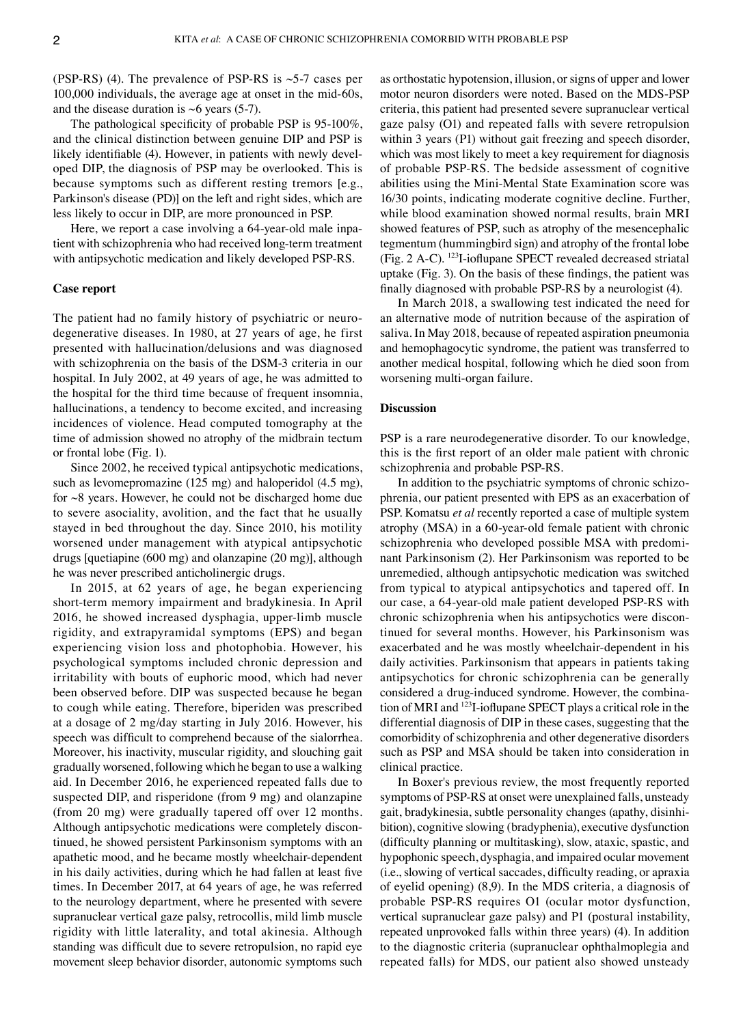(PSP-RS) (4). The prevalence of PSP-RS is  $\sim$ 5-7 cases per 100,000 individuals, the average age at onset in the mid-60s, and the disease duration is  $~6$  years (5-7).

The pathological specificity of probable PSP is 95-100%, and the clinical distinction between genuine DIP and PSP is likely identifiable (4). However, in patients with newly developed DIP, the diagnosis of PSP may be overlooked. This is because symptoms such as different resting tremors [e.g., Parkinson's disease (PD)] on the left and right sides, which are less likely to occur in DIP, are more pronounced in PSP.

Here, we report a case involving a 64-year-old male inpatient with schizophrenia who had received long‑term treatment with antipsychotic medication and likely developed PSP‑RS.

#### **Case report**

The patient had no family history of psychiatric or neurodegenerative diseases. In 1980, at 27 years of age, he first presented with hallucination/delusions and was diagnosed with schizophrenia on the basis of the DSM-3 criteria in our hospital. In July 2002, at 49 years of age, he was admitted to the hospital for the third time because of frequent insomnia, hallucinations, a tendency to become excited, and increasing incidences of violence. Head computed tomography at the time of admission showed no atrophy of the midbrain tectum or frontal lobe (Fig. 1).

Since 2002, he received typical antipsychotic medications, such as levomepromazine (125 mg) and haloperidol (4.5 mg), for  $\sim$ 8 years. However, he could not be discharged home due to severe asociality, avolition, and the fact that he usually stayed in bed throughout the day. Since 2010, his motility worsened under management with atypical antipsychotic drugs [quetiapine (600 mg) and olanzapine (20 mg)], although he was never prescribed anticholinergic drugs.

In 2015, at 62 years of age, he began experiencing short-term memory impairment and bradykinesia. In April 2016, he showed increased dysphagia, upper‑limb muscle rigidity, and extrapyramidal symptoms (EPS) and began experiencing vision loss and photophobia. However, his psychological symptoms included chronic depression and irritability with bouts of euphoric mood, which had never been observed before. DIP was suspected because he began to cough while eating. Therefore, biperiden was prescribed at a dosage of 2 mg/day starting in July 2016. However, his speech was difficult to comprehend because of the sialorrhea. Moreover, his inactivity, muscular rigidity, and slouching gait gradually worsened, following which he began to use a walking aid. In December 2016, he experienced repeated falls due to suspected DIP, and risperidone (from 9 mg) and olanzapine (from 20 mg) were gradually tapered off over 12 months. Although antipsychotic medications were completely discontinued, he showed persistent Parkinsonism symptoms with an apathetic mood, and he became mostly wheelchair‑dependent in his daily activities, during which he had fallen at least five times. In December 2017, at 64 years of age, he was referred to the neurology department, where he presented with severe supranuclear vertical gaze palsy, retrocollis, mild limb muscle rigidity with little laterality, and total akinesia. Although standing was difficult due to severe retropulsion, no rapid eye movement sleep behavior disorder, autonomic symptoms such as orthostatic hypotension, illusion, or signs of upper and lower motor neuron disorders were noted. Based on the MDS‑PSP criteria, this patient had presented severe supranuclear vertical gaze palsy (O1) and repeated falls with severe retropulsion within 3 years (P1) without gait freezing and speech disorder, which was most likely to meet a key requirement for diagnosis of probable PSP‑RS. The bedside assessment of cognitive abilities using the Mini‑Mental State Examination score was 16/30 points, indicating moderate cognitive decline. Further, while blood examination showed normal results, brain MRI showed features of PSP, such as atrophy of the mesencephalic tegmentum (hummingbird sign) and atrophy of the frontal lobe (Fig. 2 A‑C). 123I‑ioflupane SPECT revealed decreased striatal uptake (Fig. 3). On the basis of these findings, the patient was finally diagnosed with probable PSP‑RS by a neurologist (4).

In March 2018, a swallowing test indicated the need for an alternative mode of nutrition because of the aspiration of saliva. In May 2018, because of repeated aspiration pneumonia and hemophagocytic syndrome, the patient was transferred to another medical hospital, following which he died soon from worsening multi‑organ failure.

#### **Discussion**

PSP is a rare neurodegenerative disorder. To our knowledge, this is the first report of an older male patient with chronic schizophrenia and probable PSP‑RS.

In addition to the psychiatric symptoms of chronic schizophrenia, our patient presented with EPS as an exacerbation of PSP. Komatsu *et al* recently reported a case of multiple system atrophy (MSA) in a 60‑year‑old female patient with chronic schizophrenia who developed possible MSA with predominant Parkinsonism (2). Her Parkinsonism was reported to be unremedied, although antipsychotic medication was switched from typical to atypical antipsychotics and tapered off. In our case, a 64‑year‑old male patient developed PSP‑RS with chronic schizophrenia when his antipsychotics were discontinued for several months. However, his Parkinsonism was exacerbated and he was mostly wheelchair‑dependent in his daily activities. Parkinsonism that appears in patients taking antipsychotics for chronic schizophrenia can be generally considered a drug-induced syndrome. However, the combination of MRI and <sup>123</sup>I-ioflupane SPECT plays a critical role in the differential diagnosis of DIP in these cases, suggesting that the comorbidity of schizophrenia and other degenerative disorders such as PSP and MSA should be taken into consideration in clinical practice.

In Boxer's previous review, the most frequently reported symptoms of PSP‑RS at onset were unexplained falls, unsteady gait, bradykinesia, subtle personality changes (apathy, disinhibition), cognitive slowing (bradyphenia), executive dysfunction (difficulty planning or multitasking), slow, ataxic, spastic, and hypophonic speech, dysphagia, and impaired ocular movement (i.e., slowing of vertical saccades, difficulty reading, or apraxia of eyelid opening) (8,9). In the MDS criteria, a diagnosis of probable PSP‑RS requires O1 (ocular motor dysfunction, vertical supranuclear gaze palsy) and P1 (postural instability, repeated unprovoked falls within three years) (4). In addition to the diagnostic criteria (supranuclear ophthalmoplegia and repeated falls) for MDS, our patient also showed unsteady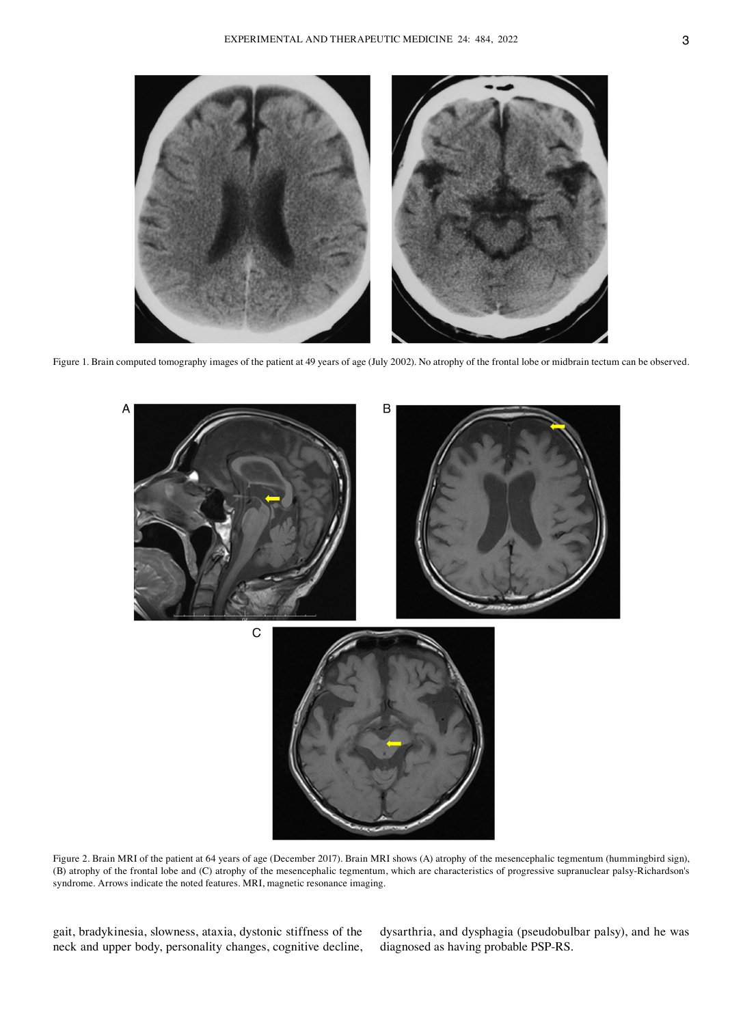

Figure 1. Brain computed tomography images of the patient at 49 years of age (July 2002). No atrophy of the frontal lobe or midbrain tectum can be observed.



Figure 2. Brain MRI of the patient at 64 years of age (December 2017). Brain MRI shows (A) atrophy of the mesencephalic tegmentum (hummingbird sign), (B) atrophy of the frontal lobe and (C) atrophy of the mesencephalic tegmentum, which are characteristics of progressive supranuclear palsy‑Richardson's syndrome. Arrows indicate the noted features. MRI, magnetic resonance imaging.

gait, bradykinesia, slowness, ataxia, dystonic stiffness of the neck and upper body, personality changes, cognitive decline, dysarthria, and dysphagia (pseudobulbar palsy), and he was diagnosed as having probable PSP‑RS.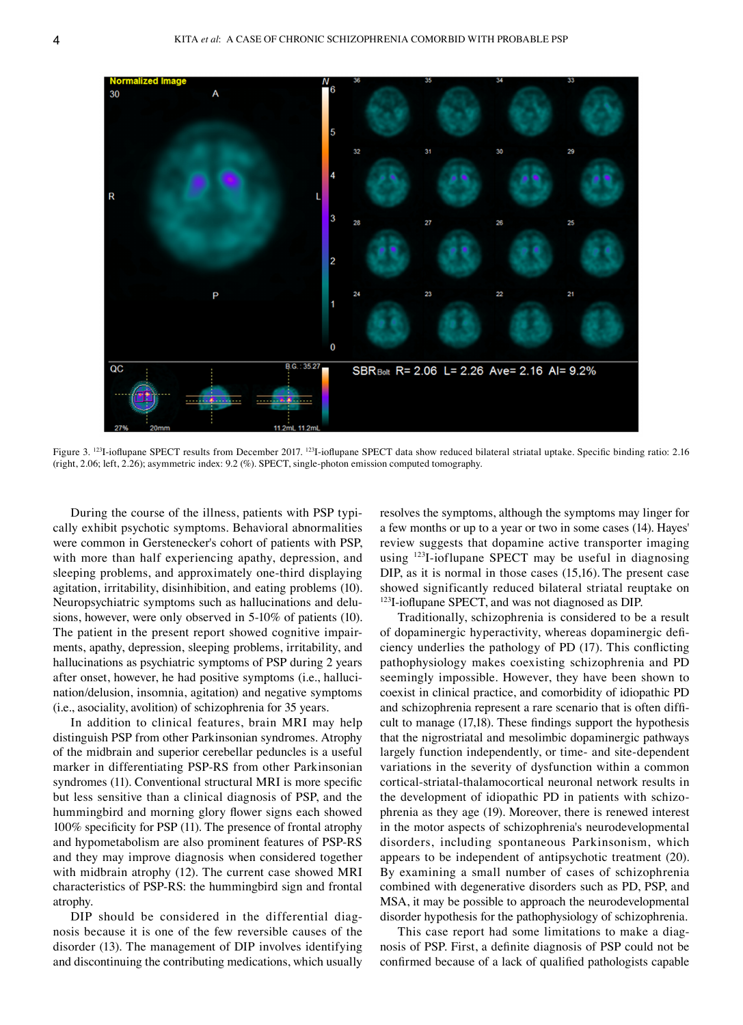

Figure 3. <sup>123</sup>I-ioflupane SPECT results from December 2017. <sup>123</sup>I-ioflupane SPECT data show reduced bilateral striatal uptake. Specific binding ratio: 2.16 (right, 2.06; left, 2.26); asymmetric index: 9.2 (%). SPECT, single‑photon emission computed tomography.

During the course of the illness, patients with PSP typically exhibit psychotic symptoms. Behavioral abnormalities were common in Gerstenecker's cohort of patients with PSP, with more than half experiencing apathy, depression, and sleeping problems, and approximately one-third displaying agitation, irritability, disinhibition, and eating problems (10). Neuropsychiatric symptoms such as hallucinations and delusions, however, were only observed in 5‑10% of patients (10). The patient in the present report showed cognitive impairments, apathy, depression, sleeping problems, irritability, and hallucinations as psychiatric symptoms of PSP during 2 years after onset, however, he had positive symptoms (i.e., hallucination/delusion, insomnia, agitation) and negative symptoms (i.e., asociality, avolition) of schizophrenia for 35 years.

In addition to clinical features, brain MRI may help distinguish PSP from other Parkinsonian syndromes. Atrophy of the midbrain and superior cerebellar peduncles is a useful marker in differentiating PSP‑RS from other Parkinsonian syndromes (11). Conventional structural MRI is more specific but less sensitive than a clinical diagnosis of PSP, and the hummingbird and morning glory flower signs each showed 100% specificity for PSP (11). The presence of frontal atrophy and hypometabolism are also prominent features of PSP‑RS and they may improve diagnosis when considered together with midbrain atrophy (12). The current case showed MRI characteristics of PSP‑RS: the hummingbird sign and frontal atrophy.

DIP should be considered in the differential diagnosis because it is one of the few reversible causes of the disorder (13). The management of DIP involves identifying and discontinuing the contributing medications, which usually resolves the symptoms, although the symptoms may linger for a few months or up to a year or two in some cases (14). Hayes' review suggests that dopamine active transporter imaging using <sup>123</sup>I-ioflupane SPECT may be useful in diagnosing DIP, as it is normal in those cases (15,16). The present case showed significantly reduced bilateral striatal reuptake on <sup>123</sup>I-ioflupane SPECT, and was not diagnosed as DIP.

Traditionally, schizophrenia is considered to be a result of dopaminergic hyperactivity, whereas dopaminergic deficiency underlies the pathology of PD (17). This conflicting pathophysiology makes coexisting schizophrenia and PD seemingly impossible. However, they have been shown to coexist in clinical practice, and comorbidity of idiopathic PD and schizophrenia represent a rare scenario that is often difficult to manage (17,18). These findings support the hypothesis that the nigrostriatal and mesolimbic dopaminergic pathways largely function independently, or time‑ and site‑dependent variations in the severity of dysfunction within a common cortical‑striatal‑thalamocortical neuronal network results in the development of idiopathic PD in patients with schizophrenia as they age (19). Moreover, there is renewed interest in the motor aspects of schizophrenia's neurodevelopmental disorders, including spontaneous Parkinsonism, which appears to be independent of antipsychotic treatment (20). By examining a small number of cases of schizophrenia combined with degenerative disorders such as PD, PSP, and MSA, it may be possible to approach the neurodevelopmental disorder hypothesis for the pathophysiology of schizophrenia.

This case report had some limitations to make a diagnosis of PSP. First, a definite diagnosis of PSP could not be confirmed because of a lack of qualified pathologists capable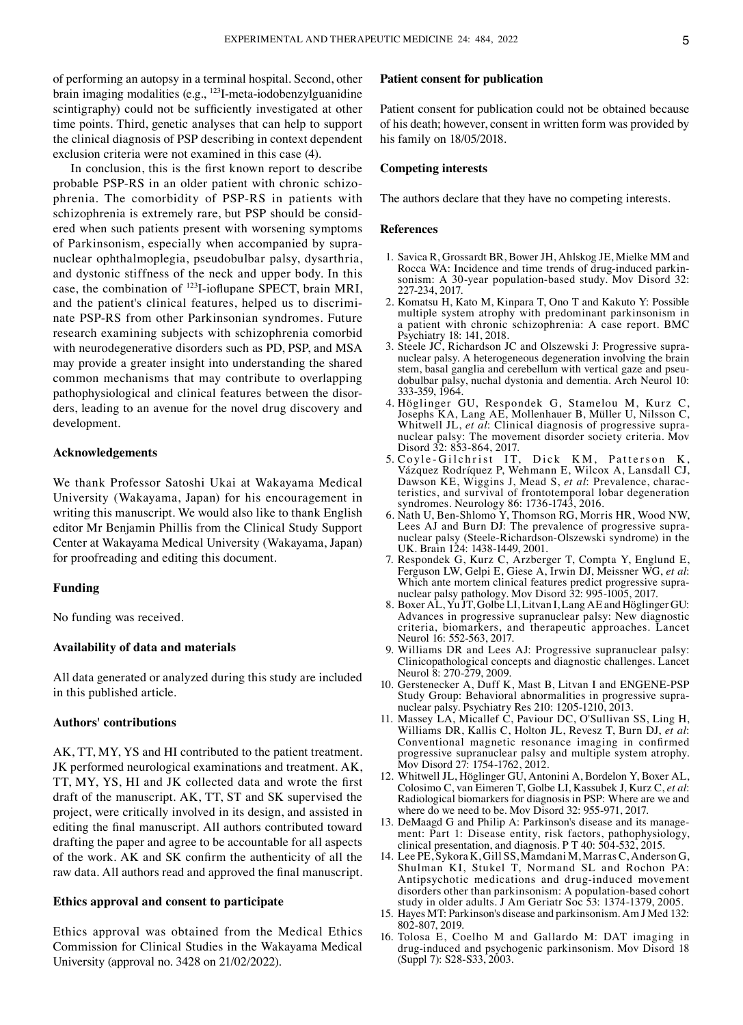of performing an autopsy in a terminal hospital. Second, other brain imaging modalities (e.g., <sup>123</sup>I-meta-iodobenzylguanidine scintigraphy) could not be sufficiently investigated at other time points. Third, genetic analyses that can help to support the clinical diagnosis of PSP describing in context dependent exclusion criteria were not examined in this case (4).

In conclusion, this is the first known report to describe probable PSP-RS in an older patient with chronic schizophrenia. The comorbidity of PSP‑RS in patients with schizophrenia is extremely rare, but PSP should be considered when such patients present with worsening symptoms of Parkinsonism, especially when accompanied by supranuclear ophthalmoplegia, pseudobulbar palsy, dysarthria, and dystonic stiffness of the neck and upper body. In this case, the combination of <sup>123</sup>I-ioflupane SPECT, brain MRI, and the patient's clinical features, helped us to discriminate PSP‑RS from other Parkinsonian syndromes. Future research examining subjects with schizophrenia comorbid with neurodegenerative disorders such as PD, PSP, and MSA may provide a greater insight into understanding the shared common mechanisms that may contribute to overlapping pathophysiological and clinical features between the disorders, leading to an avenue for the novel drug discovery and development.

## **Acknowledgements**

We thank Professor Satoshi Ukai at Wakayama Medical University (Wakayama, Japan) for his encouragement in writing this manuscript. We would also like to thank English editor Mr Benjamin Phillis from the Clinical Study Support Center at Wakayama Medical University (Wakayama, Japan) for proofreading and editing this document.

## **Funding**

No funding was received.

#### **Availability of data and materials**

All data generated or analyzed during this study are included in this published article.

## **Authors' contributions**

AK, TT, MY, YS and HI contributed to the patient treatment. JK performed neurological examinations and treatment. AK, TT, MY, YS, HI and JK collected data and wrote the first draft of the manuscript. AK, TT, ST and SK supervised the project, were critically involved in its design, and assisted in editing the final manuscript. All authors contributed toward drafting the paper and agree to be accountable for all aspects of the work. AK and SK confirm the authenticity of all the raw data. All authors read and approved the final manuscript.

## **Ethics approval and consent to participate**

Ethics approval was obtained from the Medical Ethics Commission for Clinical Studies in the Wakayama Medical University (approval no. 3428 on 21/02/2022).

### **Patient consent for publication**

Patient consent for publication could not be obtained because of his death; however, consent in written form was provided by his family on 18/05/2018.

#### **Competing interests**

The authors declare that they have no competing interests.

#### **References**

- 1. Savica R, Grossardt BR, Bower JH, Ahlskog JE, Mielke MM and Rocca WA: Incidence and time trends of drug-induced parkinsonism: A 30-year population-based study. Mov Disord 32: 227‑234, 2017.
- 2. Komatsu H, Kato M, Kinpara T, Ono T and Kakuto Y: Possible multiple system atrophy with predominant parkinsonism in a patient with chronic schizophrenia: A case report. BMC Psychiatry 18: 141, 2018.
- 3. Steele JC, Richardson JC and Olszewski J: Progressive supra‑ nuclear palsy. A heterogeneous degeneration involving the brain stem, basal ganglia and cerebellum with vertical gaze and pseudobulbar palsy, nuchal dystonia and dementia. Arch Neurol 10: 333‑359, 1964.
- 4. Höglinger GU, Respondek G, Stamelou M, Kurz C, Josephs KA, Lang AE, Mollenhauer B, Müller U, Nilsson C, Whitwell JL, *et al*: Clinical diagnosis of progressive supra‑ nuclear palsy: The movement disorder society criteria. Mov Disord 32: 853-864, 2017.
- 5. Coyle‑Gilchrist IT, Dick KM, Patterson K , Vázquez Rodríquez P, Wehmann E, Wilcox A, Lansdall CJ, Dawson KE, Wiggins J, Mead S, et al: Prevalence, characteristics, and survival of frontotemporal lobar degeneration syndromes. Neurology 86: 1736‑1743, 2016.
- 6. Nath U, Ben‑Shlomo Y, Thomson RG, Morris HR, Wood NW, Lees AJ and Burn DJ: The prevalence of progressive supranuclear palsy (Steele‑Richardson‑Olszewski syndrome) in the UK. Brain 124: 1438‑1449, 2001.
- 7. Respondek G, Kurz C, Arzberger T, Compta Y, Englund E, Ferguson LW, Gelpi E, Giese A, Irwin DJ, Meissner WG, *et al*: Which ante mortem clinical features predict progressive supranuclear palsy pathology. Mov Disord 32: 995‑1005, 2017.
- 8. Boxer AL, Yu JT, Golbe LI, Litvan I, Lang AE and Höglinger GU: Advances in progressive supranuclear palsy: New diagnostic criteria, biomarkers, and therapeutic approaches. Lancet Neurol 16: 552-563, 2017.
- 9. Williams DR and Lees AJ: Progressive supranuclear palsy: Clinicopathological concepts and diagnostic challenges. Lancet Neurol 8: 270-279, 2009.
- 10. Gerstenecker A, Duff K, Mast B, Litvan I and ENGENE‑PSP Study Group: Behavioral abnormalities in progressive supranuclear palsy. Psychiatry Res 210: 1205‑1210, 2013.
- 11. Massey LA, Micallef C, Paviour DC, O'Sullivan SS, Ling H, Williams DR, Kallis C, Holton JL, Revesz T, Burn DJ, *et al*: Conventional magnetic resonance imaging in confirmed progressive supranuclear palsy and multiple system atrophy. Mov Disord 27: 1754‑1762, 2012.
- 12. Whitwell JL, Höglinger GU, Antonini A, Bordelon Y, Boxer AL, Colosimo C, van Eimeren T, Golbe LI, Kassubek J, Kurz C, *et al*: Radiological biomarkers for diagnosis in PSP: Where are we and where do we need to be. Mov Disord 32: 955‑971, 2017.
- 13. DeMaagd G and Philip A: Parkinson's disease and its management: Part 1: Disease entity, risk factors, pathophysiology, clinical presentation, and diagnosis. P T 40: 504‑532, 2015.
- 14. Lee PE, Sykora K, Gill SS, Mamdani M, Marras C, Anderson G, Shulman KI, Stukel T, Normand SL and Rochon PA: Antipsychotic medications and drug‑induced movement disorders other than parkinsonism: A population-based cohort study in older adults. J Am Geriatr Soc 53: 1374‑1379, 2005.
- 15. Hayes MT: Parkinson's disease and parkinsonism. Am J Med 132: 802‑807, 2019.
- 16. Tolosa E, Coelho M and Gallardo M: DAT imaging in drug‑induced and psychogenic parkinsonism. Mov Disord 18 (Suppl 7): S28‑S33, 2003.